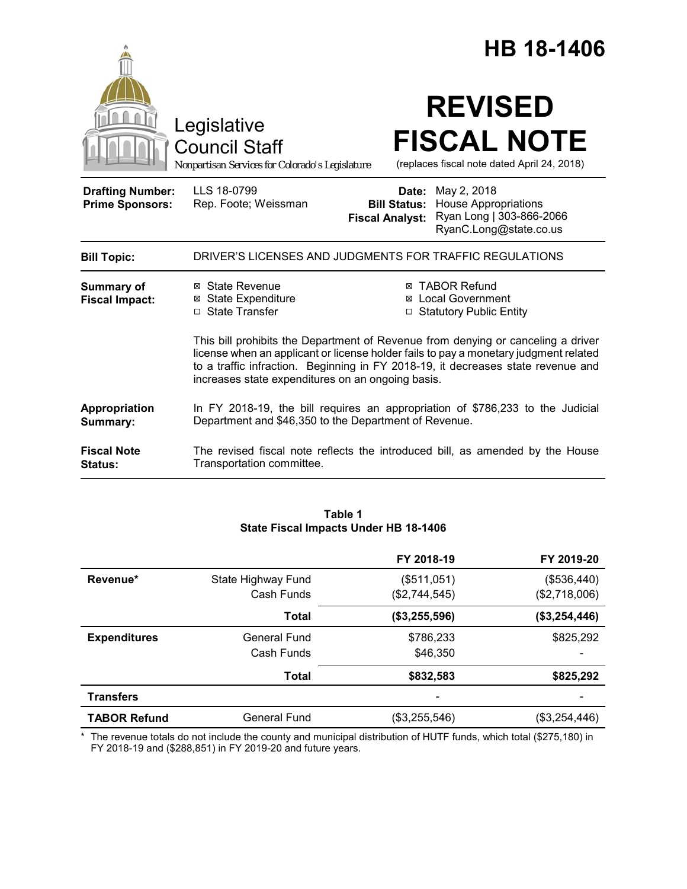|                                                   |                                                                                                                                                                                                                                                                                                                   |                                                        |                                                                                                  | <b>HB 18-1406</b>                                                 |
|---------------------------------------------------|-------------------------------------------------------------------------------------------------------------------------------------------------------------------------------------------------------------------------------------------------------------------------------------------------------------------|--------------------------------------------------------|--------------------------------------------------------------------------------------------------|-------------------------------------------------------------------|
|                                                   | Legislative<br><b>Council Staff</b><br>Nonpartisan Services for Colorado's Legislature                                                                                                                                                                                                                            |                                                        | <b>REVISED</b>                                                                                   | <b>FISCAL NOTE</b><br>(replaces fiscal note dated April 24, 2018) |
| <b>Drafting Number:</b><br><b>Prime Sponsors:</b> | LLS 18-0799<br>Rep. Foote; Weissman                                                                                                                                                                                                                                                                               | Date:<br><b>Bill Status:</b><br><b>Fiscal Analyst:</b> | May 2, 2018<br><b>House Appropriations</b><br>Ryan Long   303-866-2066<br>RyanC.Long@state.co.us |                                                                   |
| <b>Bill Topic:</b>                                | DRIVER'S LICENSES AND JUDGMENTS FOR TRAFFIC REGULATIONS                                                                                                                                                                                                                                                           |                                                        |                                                                                                  |                                                                   |
| Summary of<br><b>Fiscal Impact:</b>               | ⊠ State Revenue<br><b>⊠</b> State Expenditure<br>□ State Transfer                                                                                                                                                                                                                                                 |                                                        | <b>⊠ TABOR Refund</b><br><b>⊠</b> Local Government<br>□ Statutory Public Entity                  |                                                                   |
|                                                   | This bill prohibits the Department of Revenue from denying or canceling a driver<br>license when an applicant or license holder fails to pay a monetary judgment related<br>to a traffic infraction. Beginning in FY 2018-19, it decreases state revenue and<br>increases state expenditures on an ongoing basis. |                                                        |                                                                                                  |                                                                   |
| Appropriation<br>Summary:                         | In FY 2018-19, the bill requires an appropriation of \$786,233 to the Judicial<br>Department and \$46,350 to the Department of Revenue.                                                                                                                                                                           |                                                        |                                                                                                  |                                                                   |
| <b>Fiscal Note</b><br>Status:                     | The revised fiscal note reflects the introduced bill, as amended by the House<br>Transportation committee.                                                                                                                                                                                                        |                                                        |                                                                                                  |                                                                   |

# **Table 1 State Fiscal Impacts Under HB 18-1406**

|                     |                     | FY 2018-19    | FY 2019-20    |
|---------------------|---------------------|---------------|---------------|
| Revenue*            | State Highway Fund  | (\$511,051)   | (\$536,440)   |
|                     | Cash Funds          | (\$2,744,545) | (\$2,718,006) |
|                     | Total               | (\$3,255,596) | (\$3,254,446) |
| <b>Expenditures</b> | <b>General Fund</b> | \$786,233     | \$825,292     |
|                     | Cash Funds          | \$46,350      | -             |
|                     | <b>Total</b>        | \$832,583     | \$825,292     |
| <b>Transfers</b>    |                     |               |               |
| <b>TABOR Refund</b> | <b>General Fund</b> | (\$3,255,546) | (\$3,254,446) |

\* The revenue totals do not include the county and municipal distribution of HUTF funds, which total (\$275,180) in FY 2018-19 and (\$288,851) in FY 2019-20 and future years.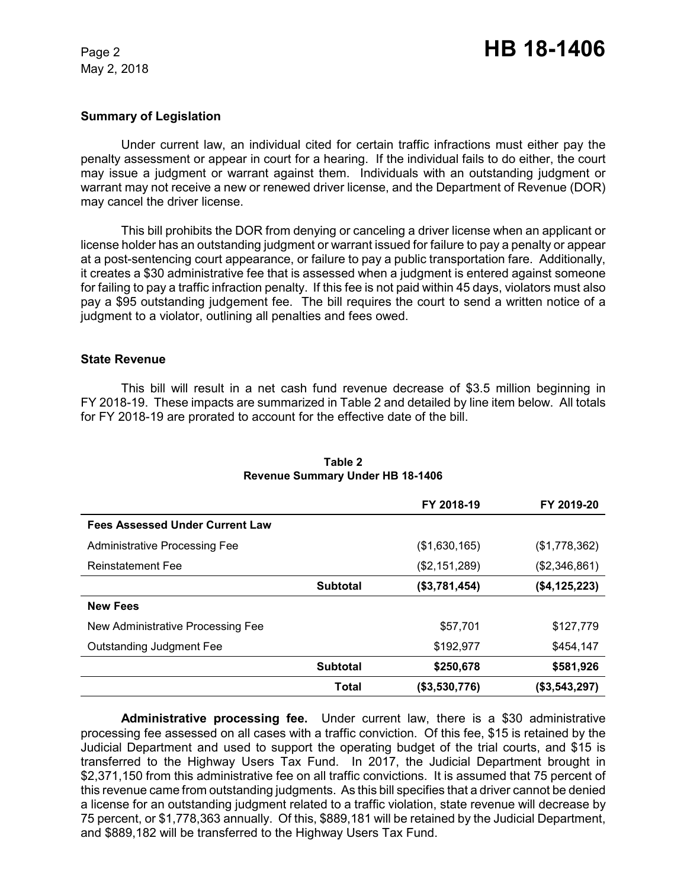## **Summary of Legislation**

Under current law, an individual cited for certain traffic infractions must either pay the penalty assessment or appear in court for a hearing. If the individual fails to do either, the court may issue a judgment or warrant against them. Individuals with an outstanding judgment or warrant may not receive a new or renewed driver license, and the Department of Revenue (DOR) may cancel the driver license.

This bill prohibits the DOR from denying or canceling a driver license when an applicant or license holder has an outstanding judgment or warrant issued for failure to pay a penalty or appear at a post-sentencing court appearance, or failure to pay a public transportation fare. Additionally, it creates a \$30 administrative fee that is assessed when a judgment is entered against someone for failing to pay a traffic infraction penalty. If this fee is not paid within 45 days, violators must also pay a \$95 outstanding judgement fee. The bill requires the court to send a written notice of a judgment to a violator, outlining all penalties and fees owed.

### **State Revenue**

This bill will result in a net cash fund revenue decrease of \$3.5 million beginning in FY 2018-19. These impacts are summarized in Table 2 and detailed by line item below. All totals for FY 2018-19 are prorated to account for the effective date of the bill.

|                                        |                 | FY 2018-19    | FY 2019-20    |
|----------------------------------------|-----------------|---------------|---------------|
| <b>Fees Assessed Under Current Law</b> |                 |               |               |
| <b>Administrative Processing Fee</b>   |                 | (\$1,630,165) | (\$1,778,362) |
| <b>Reinstatement Fee</b>               |                 | (\$2,151,289) | (\$2,346,861) |
|                                        | <b>Subtotal</b> | (\$3,781,454) | (\$4,125,223) |
| <b>New Fees</b>                        |                 |               |               |
| New Administrative Processing Fee      |                 | \$57,701      | \$127,779     |
| <b>Outstanding Judgment Fee</b>        |                 | \$192,977     | \$454,147     |
|                                        | <b>Subtotal</b> | \$250,678     | \$581,926     |
|                                        | Total           | (\$3,530,776) | (\$3,543,297) |

## **Table 2 Revenue Summary Under HB 18-1406**

**Administrative processing fee.** Under current law, there is a \$30 administrative processing fee assessed on all cases with a traffic conviction. Of this fee, \$15 is retained by the Judicial Department and used to support the operating budget of the trial courts, and \$15 is transferred to the Highway Users Tax Fund. In 2017, the Judicial Department brought in \$2,371,150 from this administrative fee on all traffic convictions. It is assumed that 75 percent of this revenue came from outstanding judgments. As this bill specifies that a driver cannot be denied a license for an outstanding judgment related to a traffic violation, state revenue will decrease by 75 percent, or \$1,778,363 annually. Of this, \$889,181 will be retained by the Judicial Department, and \$889,182 will be transferred to the Highway Users Tax Fund.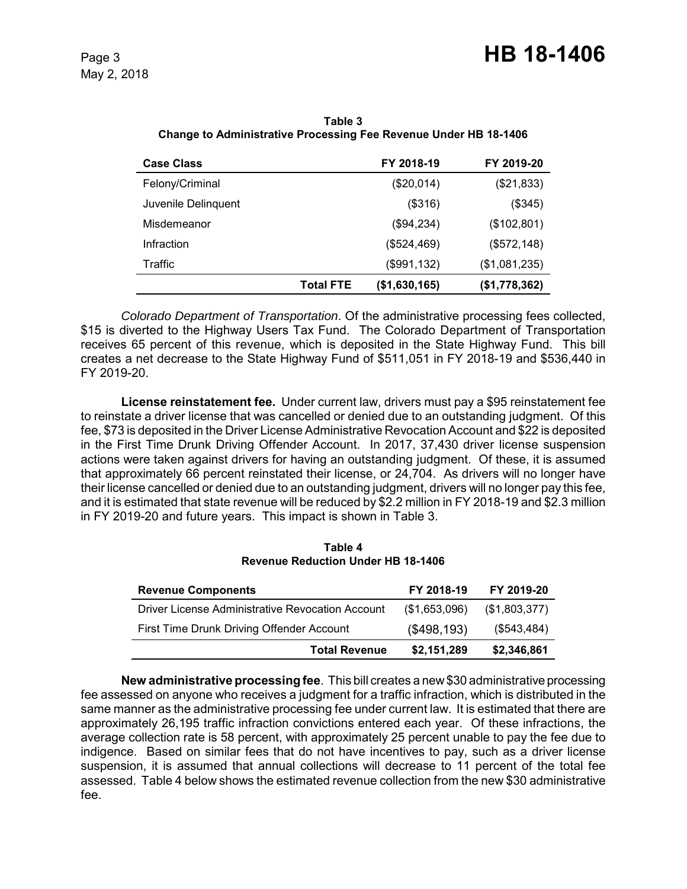| <b>Case Class</b>   |                  | FY 2018-19    | FY 2019-20    |
|---------------------|------------------|---------------|---------------|
| Felony/Criminal     |                  | (\$20,014)    | (\$21,833)    |
| Juvenile Delinguent |                  | (\$316)       | (\$345)       |
| Misdemeanor         |                  | (\$94,234)    | (\$102,801)   |
| Infraction          |                  | (\$524,469)   | (\$572,148)   |
| Traffic             |                  | (\$991,132)   | (\$1,081,235) |
|                     | <b>Total FTE</b> | (\$1,630,165) | (\$1,778,362) |

**Table 3 Change to Administrative Processing Fee Revenue Under HB 18-1406**

*Colorado Department of Transportation*. Of the administrative processing fees collected, \$15 is diverted to the Highway Users Tax Fund. The Colorado Department of Transportation receives 65 percent of this revenue, which is deposited in the State Highway Fund. This bill creates a net decrease to the State Highway Fund of \$511,051 in FY 2018-19 and \$536,440 in FY 2019-20.

**License reinstatement fee.** Under current law, drivers must pay a \$95 reinstatement fee to reinstate a driver license that was cancelled or denied due to an outstanding judgment. Of this fee, \$73 is deposited in the Driver License Administrative Revocation Account and \$22 is deposited in the First Time Drunk Driving Offender Account. In 2017, 37,430 driver license suspension actions were taken against drivers for having an outstanding judgment. Of these, it is assumed that approximately 66 percent reinstated their license, or 24,704. As drivers will no longer have their license cancelled or denied due to an outstanding judgment, drivers will no longer pay this fee, and it is estimated that state revenue will be reduced by \$2.2 million in FY 2018-19 and \$2.3 million in FY 2019-20 and future years. This impact is shown in Table 3.

**Table 4 Revenue Reduction Under HB 18-1406**

| <b>Revenue Components</b>                        | FY 2018-19    | FY 2019-20    |
|--------------------------------------------------|---------------|---------------|
| Driver License Administrative Revocation Account | (\$1,653,096) | (\$1,803,377) |
| First Time Drunk Driving Offender Account        | (\$498,193)   | (\$543,484)   |
| <b>Total Revenue</b>                             | \$2,151,289   | \$2,346,861   |

**New administrative processing fee**. This bill creates a new \$30 administrative processing fee assessed on anyone who receives a judgment for a traffic infraction, which is distributed in the same manner as the administrative processing fee under current law. It is estimated that there are approximately 26,195 traffic infraction convictions entered each year. Of these infractions, the average collection rate is 58 percent, with approximately 25 percent unable to pay the fee due to indigence. Based on similar fees that do not have incentives to pay, such as a driver license suspension, it is assumed that annual collections will decrease to 11 percent of the total fee assessed. Table 4 below shows the estimated revenue collection from the new \$30 administrative fee.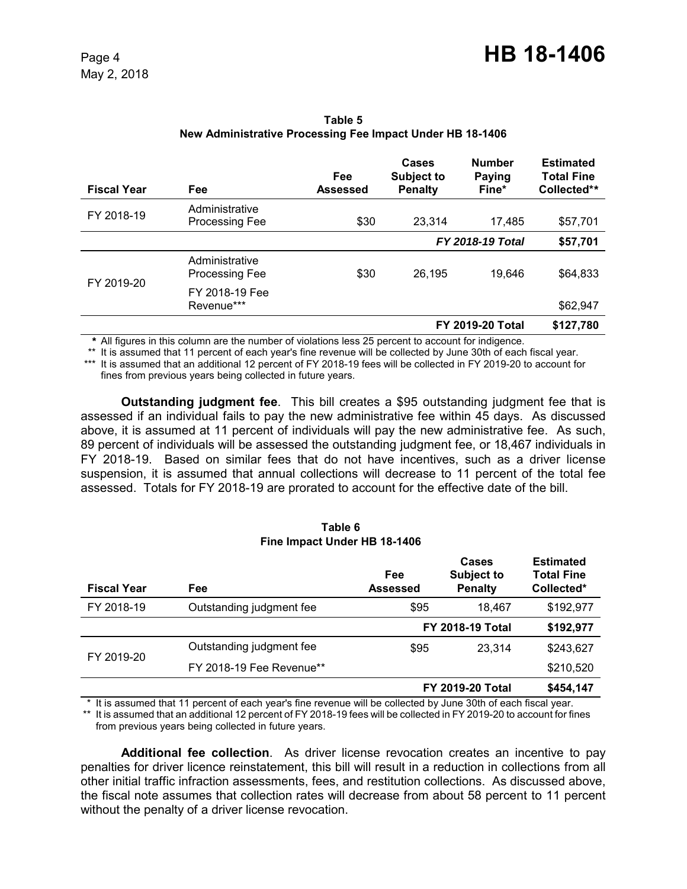| <b>Fiscal Year</b> | Fee                                     | Fee<br><b>Assessed</b> | Cases<br><b>Subject to</b><br><b>Penalty</b> | <b>Number</b><br><b>Paying</b><br>Fine* | <b>Estimated</b><br><b>Total Fine</b><br>Collected** |
|--------------------|-----------------------------------------|------------------------|----------------------------------------------|-----------------------------------------|------------------------------------------------------|
| FY 2018-19         | Administrative<br><b>Processing Fee</b> | \$30                   | 23,314                                       | 17,485                                  | \$57,701                                             |
|                    |                                         |                        |                                              | <b>FY 2018-19 Total</b>                 | \$57,701                                             |
| FY 2019-20         | Administrative<br>Processing Fee        | \$30                   | 26,195                                       | 19.646                                  | \$64,833                                             |
|                    | FY 2018-19 Fee<br>Revenue***            |                        |                                              |                                         | \$62,947                                             |
|                    |                                         |                        |                                              | <b>FY 2019-20 Total</b>                 | \$127,780                                            |

**Table 5 New Administrative Processing Fee Impact Under HB 18-1406**

*\** All figures in this column are the number of violations less 25 percent to account for indigence.

\*\* It is assumed that 11 percent of each year's fine revenue will be collected by June 30th of each fiscal year.

\*\*\* It is assumed that an additional 12 percent of FY 2018-19 fees will be collected in FY 2019-20 to account for fines from previous years being collected in future years.

**Outstanding judgment fee**. This bill creates a \$95 outstanding judgment fee that is assessed if an individual fails to pay the new administrative fee within 45 days. As discussed above, it is assumed at 11 percent of individuals will pay the new administrative fee. As such, 89 percent of individuals will be assessed the outstanding judgment fee, or 18,467 individuals in FY 2018-19. Based on similar fees that do not have incentives, such as a driver license suspension, it is assumed that annual collections will decrease to 11 percent of the total fee assessed. Totals for FY 2018-19 are prorated to account for the effective date of the bill.

#### **Table 6 Fine Impact Under HB 18-1406**

| <b>Fiscal Year</b> | Fee                      | Fee<br>Assessed | Cases<br><b>Subject to</b><br><b>Penalty</b> | <b>Estimated</b><br><b>Total Fine</b><br>Collected* |
|--------------------|--------------------------|-----------------|----------------------------------------------|-----------------------------------------------------|
| FY 2018-19         | Outstanding judgment fee | \$95            | 18.467                                       | \$192,977                                           |
|                    |                          |                 | <b>FY 2018-19 Total</b>                      | \$192,977                                           |
| FY 2019-20         | Outstanding judgment fee | \$95            | 23.314                                       | \$243,627                                           |
|                    | FY 2018-19 Fee Revenue** |                 |                                              | \$210,520                                           |
|                    |                          |                 | <b>FY 2019-20 Total</b>                      | \$454,147                                           |

\* It is assumed that 11 percent of each year's fine revenue will be collected by June 30th of each fiscal year.

\*\* It is assumed that an additional 12 percent of FY 2018-19 fees will be collected in FY 2019-20 to account for fines from previous years being collected in future years.

**Additional fee collection**. As driver license revocation creates an incentive to pay penalties for driver licence reinstatement, this bill will result in a reduction in collections from all other initial traffic infraction assessments, fees, and restitution collections. As discussed above, the fiscal note assumes that collection rates will decrease from about 58 percent to 11 percent without the penalty of a driver license revocation.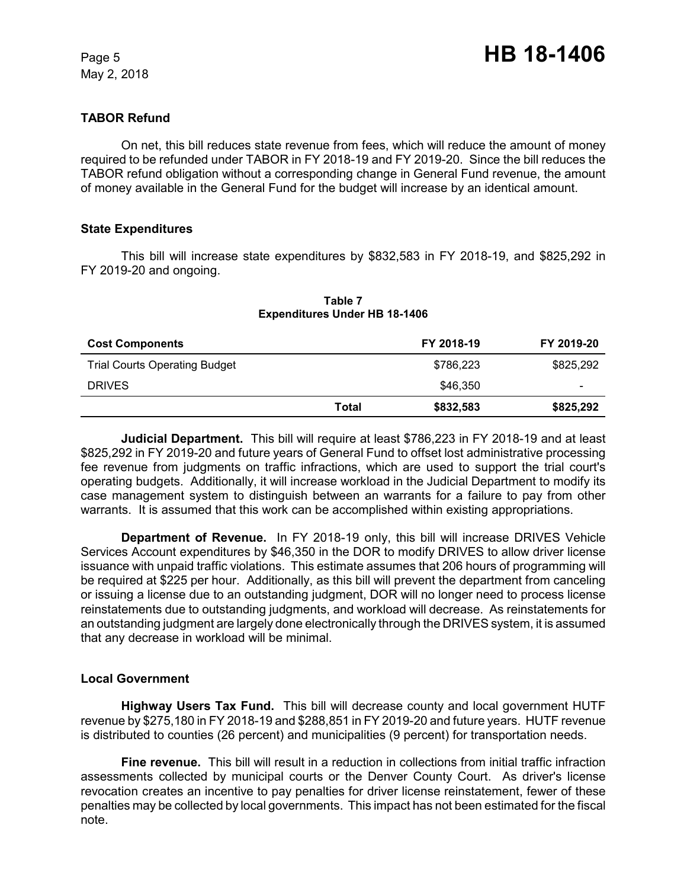# **TABOR Refund**

On net, this bill reduces state revenue from fees, which will reduce the amount of money required to be refunded under TABOR in FY 2018-19 and FY 2019-20. Since the bill reduces the TABOR refund obligation without a corresponding change in General Fund revenue, the amount of money available in the General Fund for the budget will increase by an identical amount.

### **State Expenditures**

This bill will increase state expenditures by \$832,583 in FY 2018-19, and \$825,292 in FY 2019-20 and ongoing.

| <b>Cost Components</b>               |       | FY 2018-19 | FY 2019-20 |
|--------------------------------------|-------|------------|------------|
| <b>Trial Courts Operating Budget</b> |       | \$786,223  | \$825,292  |
| <b>DRIVES</b>                        |       | \$46,350   | ۰          |
|                                      | Total | \$832,583  | \$825,292  |

#### **Table 7 Expenditures Under HB 18-1406**

**Judicial Department.** This bill will require at least \$786,223 in FY 2018-19 and at least \$825,292 in FY 2019-20 and future years of General Fund to offset lost administrative processing fee revenue from judgments on traffic infractions, which are used to support the trial court's operating budgets. Additionally, it will increase workload in the Judicial Department to modify its case management system to distinguish between an warrants for a failure to pay from other warrants. It is assumed that this work can be accomplished within existing appropriations.

**Department of Revenue.** In FY 2018-19 only, this bill will increase DRIVES Vehicle Services Account expenditures by \$46,350 in the DOR to modify DRIVES to allow driver license issuance with unpaid traffic violations. This estimate assumes that 206 hours of programming will be required at \$225 per hour. Additionally, as this bill will prevent the department from canceling or issuing a license due to an outstanding judgment, DOR will no longer need to process license reinstatements due to outstanding judgments, and workload will decrease. As reinstatements for an outstanding judgment are largely done electronically through the DRIVES system, it is assumed that any decrease in workload will be minimal.

### **Local Government**

**Highway Users Tax Fund.** This bill will decrease county and local government HUTF revenue by \$275,180 in FY 2018-19 and \$288,851 in FY 2019-20 and future years. HUTF revenue is distributed to counties (26 percent) and municipalities (9 percent) for transportation needs.

**Fine revenue.** This bill will result in a reduction in collections from initial traffic infraction assessments collected by municipal courts or the Denver County Court. As driver's license revocation creates an incentive to pay penalties for driver license reinstatement, fewer of these penalties may be collected by local governments. This impact has not been estimated for the fiscal note.